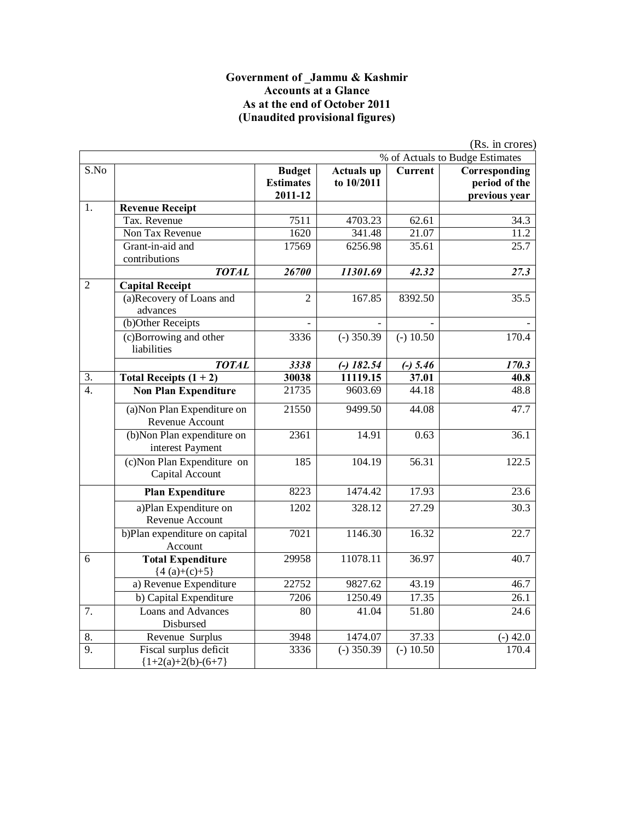#### **Government of \_Jammu & Kashmir Accounts at a Glance As at the end of October 2011 (Unaudited provisional figures)**

|                  |                                                |                                              |                                 |             | (Rs. in crores)                                 |
|------------------|------------------------------------------------|----------------------------------------------|---------------------------------|-------------|-------------------------------------------------|
|                  |                                                |                                              |                                 |             | % of Actuals to Budge Estimates                 |
| S.No             |                                                | <b>Budget</b><br><b>Estimates</b><br>2011-12 | <b>Actuals up</b><br>to 10/2011 | Current     | Corresponding<br>period of the<br>previous year |
| 1.               | <b>Revenue Receipt</b>                         |                                              |                                 |             |                                                 |
|                  | Tax. Revenue                                   | 7511                                         | 4703.23                         | 62.61       | 34.3                                            |
|                  | Non Tax Revenue                                | 1620                                         | 341.48                          | 21.07       | 11.2                                            |
|                  | Grant-in-aid and<br>contributions              | 17569                                        | 6256.98                         | 35.61       | 25.7                                            |
|                  | <b>TOTAL</b>                                   | 26700                                        | 11301.69                        | 42.32       | 27.3                                            |
| $\overline{c}$   | <b>Capital Receipt</b>                         |                                              |                                 |             |                                                 |
|                  | (a)Recovery of Loans and<br>advances           | $\overline{2}$                               | 167.85                          | 8392.50     | 35.5                                            |
|                  | (b)Other Receipts                              |                                              |                                 |             |                                                 |
|                  | (c)Borrowing and other<br>liabilities          | 3336                                         | $(-)$ 350.39                    | $(-) 10.50$ | 170.4                                           |
|                  | <b>TOTAL</b>                                   | 3338                                         | $(-)$ 182.54                    | $(-) 5.46$  | 170.3                                           |
| 3.               | Total Receipts $(1 + 2)$                       | 30038                                        | 11119.15                        | 37.01       | 40.8                                            |
| $\overline{4}$ . | <b>Non Plan Expenditure</b>                    | 21735                                        | 9603.69                         | 44.18       | 48.8                                            |
|                  | (a) Non Plan Expenditure on<br>Revenue Account | 21550                                        | 9499.50                         | 44.08       | 47.7                                            |
|                  | (b)Non Plan expenditure on<br>interest Payment | 2361                                         | 14.91                           | 0.63        | 36.1                                            |
|                  | (c) Non Plan Expenditure on<br>Capital Account | 185                                          | 104.19                          | 56.31       | 122.5                                           |
|                  | <b>Plan Expenditure</b>                        | 8223                                         | 1474.42                         | 17.93       | 23.6                                            |
|                  | a)Plan Expenditure on<br>Revenue Account       | 1202                                         | 328.12                          | 27.29       | 30.3                                            |
|                  | b)Plan expenditure on capital<br>Account       | 7021                                         | 1146.30                         | 16.32       | 22.7                                            |
| 6                | <b>Total Expenditure</b><br>${4 (a)+(c)+5}$    | 29958                                        | 11078.11                        | 36.97       | 40.7                                            |
|                  | a) Revenue Expenditure                         | 22752                                        | 9827.62                         | 43.19       | 46.7                                            |
|                  | b) Capital Expenditure                         | 7206                                         | 1250.49                         | 17.35       | 26.1                                            |
| 7.               | Loans and Advances                             | 80                                           | 41.04                           | 51.80       | 24.6                                            |
| 8.               | Disbursed<br>Revenue Surplus                   | 3948                                         | 1474.07                         | 37.33       | $(-)$ 42.0                                      |
| $\overline{9}$ . | Fiscal surplus deficit                         | 3336                                         | $(-)$ 350.39                    | $(-) 10.50$ | 170.4                                           |
|                  | ${1+2(a)+2(b)-(6+7)}$                          |                                              |                                 |             |                                                 |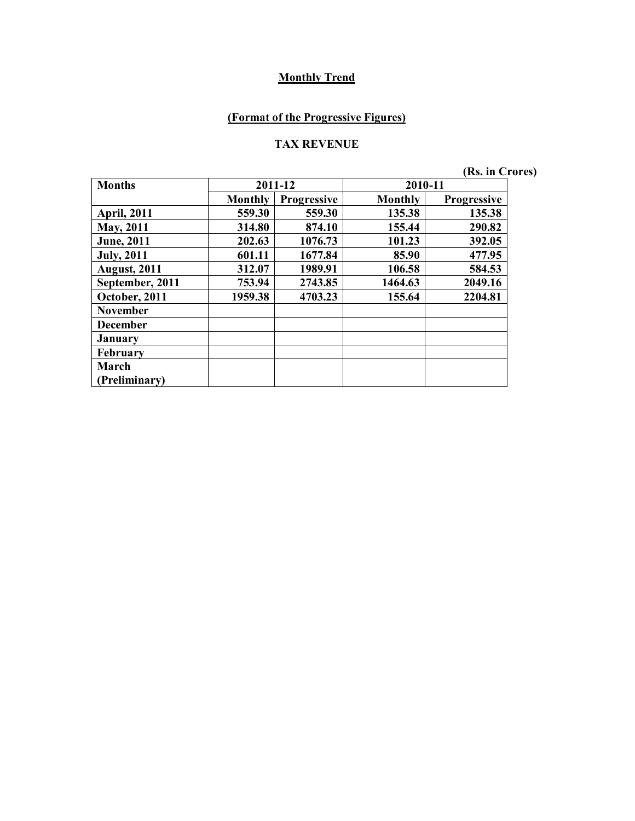## **(Format of the Progressive Figures)**

#### **TAX REVENUE**

**(Rs. in Crores)**

| <b>Months</b>       |                | 2011-12            | 2010-11 |                    |
|---------------------|----------------|--------------------|---------|--------------------|
|                     | <b>Monthly</b> | <b>Progressive</b> | Monthly | <b>Progressive</b> |
| <b>April, 2011</b>  | 559.30         | 559.30             | 135.38  | 135.38             |
| <b>May, 2011</b>    | 314.80         | 874.10             | 155.44  | 290.82             |
| <b>June</b> , 2011  | 202.63         | 1076.73            | 101.23  | 392.05             |
| <b>July</b> , 2011  | 601.11         | 1677.84            | 85.90   | 477.95             |
| <b>August, 2011</b> | 312.07         | 1989.91            | 106.58  | 584.53             |
| September, 2011     | 753.94         | 2743.85            | 1464.63 | 2049.16            |
| October, 2011       | 1959.38        | 4703.23            | 155.64  | 2204.81            |
| <b>November</b>     |                |                    |         |                    |
| <b>December</b>     |                |                    |         |                    |
| <b>January</b>      |                |                    |         |                    |
| February            |                |                    |         |                    |
| March               |                |                    |         |                    |
| (Preliminary)       |                |                    |         |                    |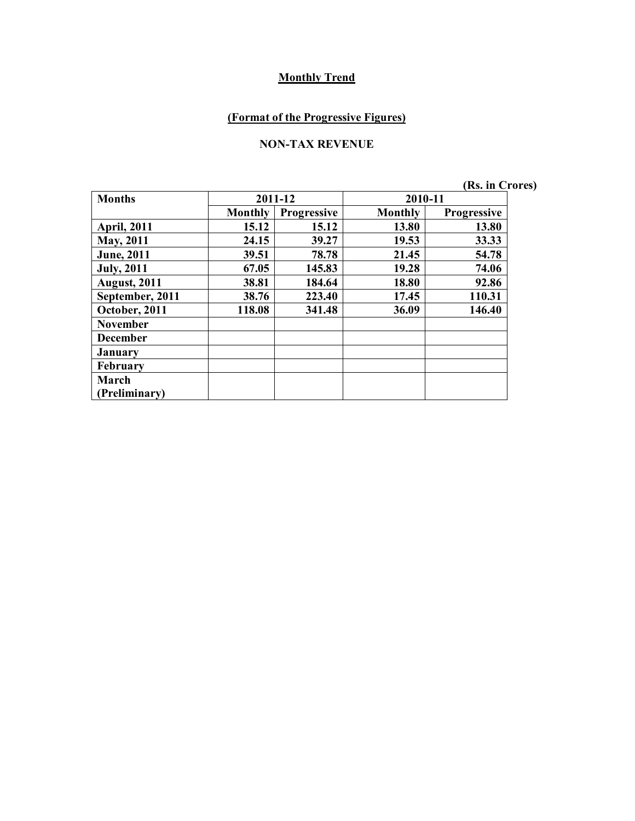## **(Format of the Progressive Figures)**

#### **NON-TAX REVENUE**

| <b>Months</b>        | 2011-12        |                    | 2010-11        |                    |
|----------------------|----------------|--------------------|----------------|--------------------|
|                      | <b>Monthly</b> | <b>Progressive</b> | <b>Monthly</b> | <b>Progressive</b> |
| <b>April, 2011</b>   | 15.12          | 15.12              | 13.80          | 13.80              |
| <b>May, 2011</b>     | 24.15          | 39.27              | 19.53          | 33.33              |
| <b>June</b> , 2011   | 39.51          | 78.78              | 21.45          | 54.78              |
| <b>July, 2011</b>    | 67.05          | 145.83             | 19.28          | 74.06              |
| <b>August, 2011</b>  | 38.81          | 184.64             | 18.80          | 92.86              |
| September, 2011      | 38.76          | 223.40             | 17.45          | 110.31             |
| October, 2011        | 118.08         | 341.48             | 36.09          | 146.40             |
| <b>November</b>      |                |                    |                |                    |
| <b>December</b>      |                |                    |                |                    |
| January              |                |                    |                |                    |
| February             |                |                    |                |                    |
| March                |                |                    |                |                    |
| <b>Preliminary</b> ) |                |                    |                |                    |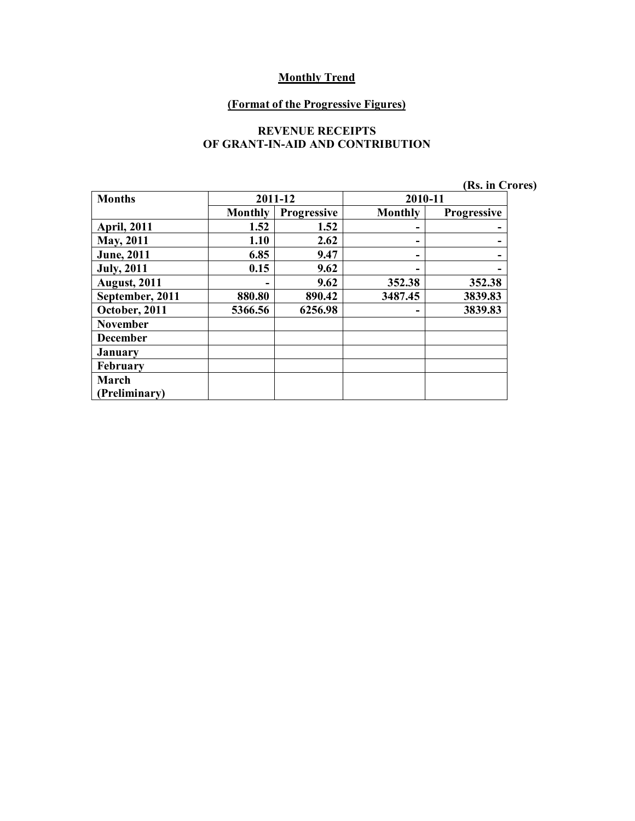#### **(Format of the Progressive Figures)**

#### **REVENUE RECEIPTS OF GRANT-IN-AID AND CONTRIBUTION**

|  |  | (Rs. in Crores) |  |
|--|--|-----------------|--|
|--|--|-----------------|--|

| <b>Months</b>        |                | 2011-12            | 2010-11        |             |
|----------------------|----------------|--------------------|----------------|-------------|
|                      | <b>Monthly</b> | <b>Progressive</b> | <b>Monthly</b> | Progressive |
| <b>April, 2011</b>   | 1.52           | 1.52               |                |             |
| <b>May, 2011</b>     | 1.10           | 2.62               | -              |             |
| <b>June</b> , 2011   | 6.85           | 9.47               | -              |             |
| <b>July</b> , 2011   | 0.15           | 9.62               | -              |             |
| <b>August, 2011</b>  |                | 9.62               | 352.38         | 352.38      |
| September, 2011      | 880.80         | 890.42             | 3487.45        | 3839.83     |
| October, 2011        | 5366.56        | 6256.98            | -              | 3839.83     |
| <b>November</b>      |                |                    |                |             |
| <b>December</b>      |                |                    |                |             |
| <b>January</b>       |                |                    |                |             |
| <b>February</b>      |                |                    |                |             |
| March                |                |                    |                |             |
| <b>Preliminary</b> ) |                |                    |                |             |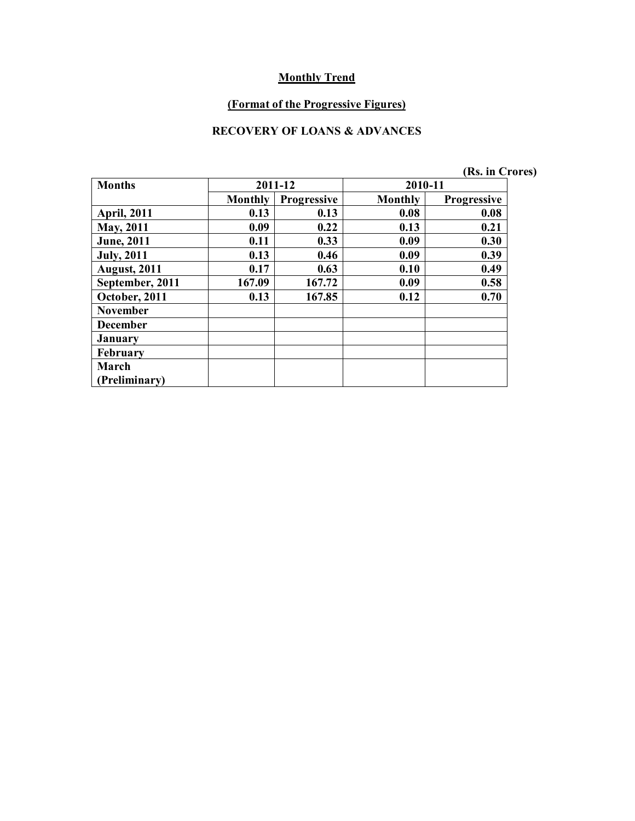#### **(Format of the Progressive Figures)**

#### **RECOVERY OF LOANS & ADVANCES**

|                     |                |                    |                | (Rs. in Crores)    |  |
|---------------------|----------------|--------------------|----------------|--------------------|--|
| <b>Months</b>       |                | 2011-12            | 2010-11        |                    |  |
|                     | <b>Monthly</b> | <b>Progressive</b> | <b>Monthly</b> | <b>Progressive</b> |  |
| <b>April, 2011</b>  | 0.13           | 0.13               | 0.08           | 0.08               |  |
| May, 2011           | 0.09           | 0.22               | 0.13           | 0.21               |  |
| <b>June</b> , 2011  | 0.11           | 0.33               | 0.09           | 0.30               |  |
| <b>July</b> , 2011  | 0.13           | 0.46               | 0.09           | 0.39               |  |
| <b>August, 2011</b> | 0.17           | 0.63               | 0.10           | 0.49               |  |
| September, 2011     | 167.09         | 167.72             | 0.09           | 0.58               |  |
| October, 2011       | 0.13           | 167.85             | 0.12           | 0.70               |  |
| <b>November</b>     |                |                    |                |                    |  |
| <b>December</b>     |                |                    |                |                    |  |
| <b>January</b>      |                |                    |                |                    |  |
| <b>February</b>     |                |                    |                |                    |  |
| March               |                |                    |                |                    |  |
| (Preliminary)       |                |                    |                |                    |  |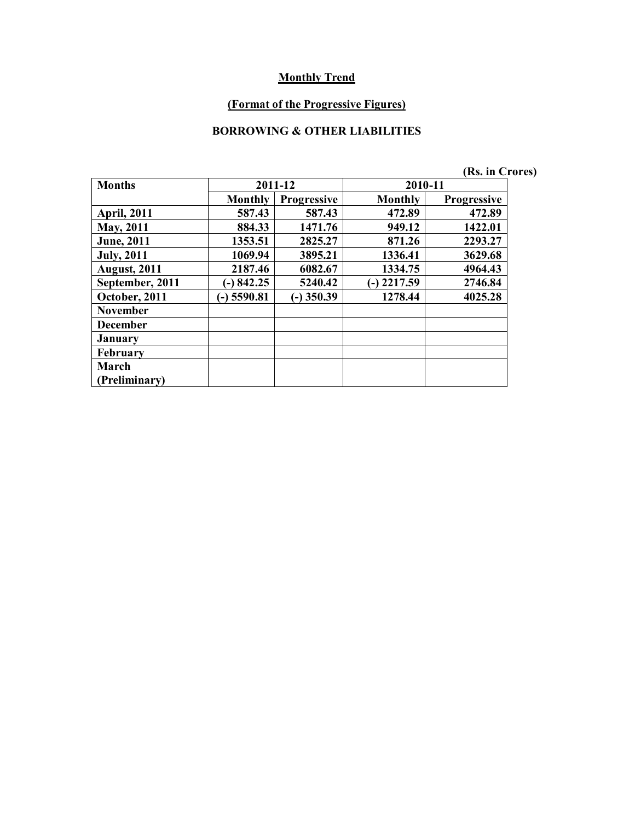#### **(Format of the Progressive Figures)**

#### **BORROWING & OTHER LIABILITIES**

|                     |                |                    |         | (Rs. in Crores)    |  |
|---------------------|----------------|--------------------|---------|--------------------|--|
| <b>Months</b>       | 2011-12        |                    | 2010-11 |                    |  |
|                     | <b>Monthly</b> | <b>Progressive</b> | Monthly | <b>Progressive</b> |  |
| <b>April, 2011</b>  | 587.43         | 587.43             | 472.89  | 472.89             |  |
| May, 2011           | 884.33         | 1471.76            | 949.12  | 1422.01            |  |
| <b>June</b> , 2011  | 1353.51        | 2825.27            | 871.26  | 2293.27            |  |
| <b>July, 2011</b>   | 1069.94        | 3895.21            | 1336.41 | 3629.68            |  |
| <b>August, 2011</b> | 2187.46        | 6082.67            | 1334.75 | 4964.43            |  |
| September, 2011     | $(-) 842.25$   | 5240.42            | 2217.59 | 2746.84            |  |
| October, 2011       | $-$ ) 5590.81  | $(-)$ 350.39       | 1278.44 | 4025.28            |  |
| <b>November</b>     |                |                    |         |                    |  |
| <b>December</b>     |                |                    |         |                    |  |
| <b>January</b>      |                |                    |         |                    |  |
| <b>February</b>     |                |                    |         |                    |  |
| March               |                |                    |         |                    |  |
| (Preliminary)       |                |                    |         |                    |  |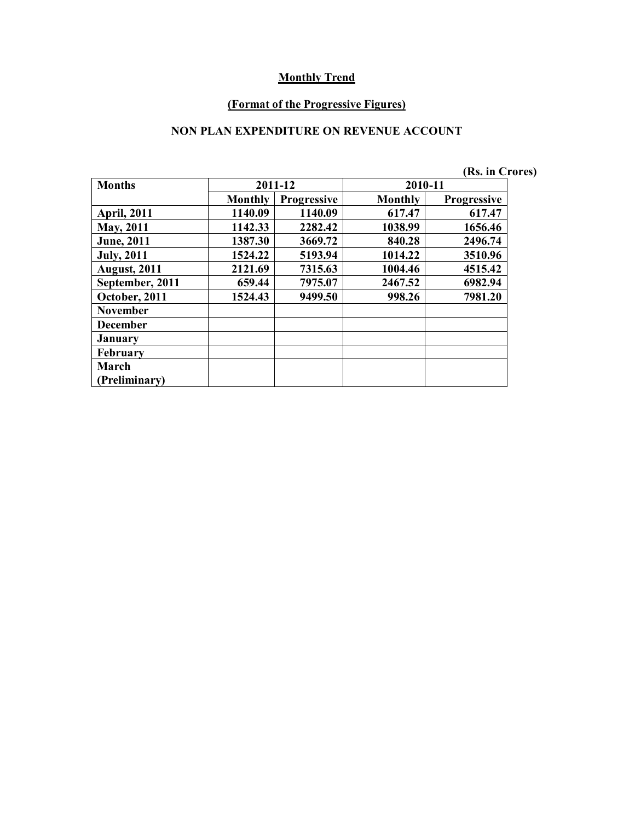#### **(Format of the Progressive Figures)**

#### **NON PLAN EXPENDITURE ON REVENUE ACCOUNT**

|                     |                |                    |                | (Rs. in Crores)    |
|---------------------|----------------|--------------------|----------------|--------------------|
| <b>Months</b>       |                | 2011-12            | 2010-11        |                    |
|                     | <b>Monthly</b> | <b>Progressive</b> | <b>Monthly</b> | <b>Progressive</b> |
| <b>April, 2011</b>  | 1140.09        | 1140.09            | 617.47         | 617.47             |
| <b>May, 2011</b>    | 1142.33        | 2282.42            | 1038.99        | 1656.46            |
| <b>June</b> , 2011  | 1387.30        | 3669.72            | 840.28         | 2496.74            |
| <b>July</b> , 2011  | 1524.22        | 5193.94            | 1014.22        | 3510.96            |
| <b>August, 2011</b> | 2121.69        | 7315.63            | 1004.46        | 4515.42            |
| September, 2011     | 659.44         | 7975.07            | 2467.52        | 6982.94            |
| October, 2011       | 1524.43        | 9499.50            | 998.26         | 7981.20            |
| <b>November</b>     |                |                    |                |                    |
| <b>December</b>     |                |                    |                |                    |
| <b>January</b>      |                |                    |                |                    |
| <b>February</b>     |                |                    |                |                    |
| March               |                |                    |                |                    |
| (Preliminary)       |                |                    |                |                    |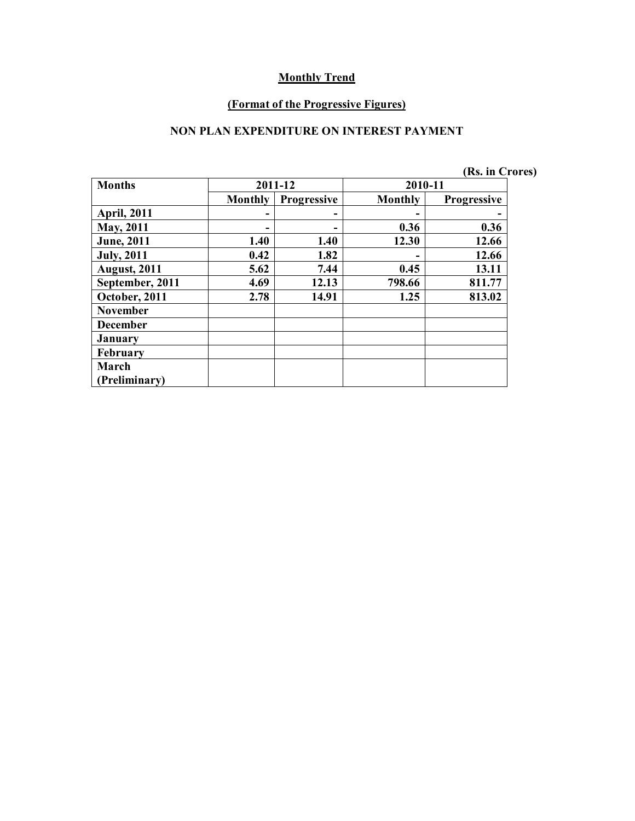#### **(Format of the Progressive Figures)**

#### **NON PLAN EXPENDITURE ON INTEREST PAYMENT**

|  | (Rs. in Crores) |
|--|-----------------|
|--|-----------------|

| <b>Months</b>       | 2011-12        |                    |         | 2010-11            |  |  |
|---------------------|----------------|--------------------|---------|--------------------|--|--|
|                     | <b>Monthly</b> | <b>Progressive</b> | Monthly | <b>Progressive</b> |  |  |
| <b>April, 2011</b>  |                |                    |         |                    |  |  |
| May, 2011           |                |                    | 0.36    | 0.36               |  |  |
| <b>June</b> , 2011  | 1.40           | 1.40               | 12.30   | 12.66              |  |  |
| <b>July, 2011</b>   | 0.42           | 1.82               |         | 12.66              |  |  |
| <b>August, 2011</b> | 5.62           | 7.44               | 0.45    | 13.11              |  |  |
| September, 2011     | 4.69           | 12.13              | 798.66  | 811.77             |  |  |
| October, 2011       | 2.78           | 14.91              | 1.25    | 813.02             |  |  |
| <b>November</b>     |                |                    |         |                    |  |  |
| <b>December</b>     |                |                    |         |                    |  |  |
| January             |                |                    |         |                    |  |  |
| <b>February</b>     |                |                    |         |                    |  |  |
| March               |                |                    |         |                    |  |  |
| (Preliminary)       |                |                    |         |                    |  |  |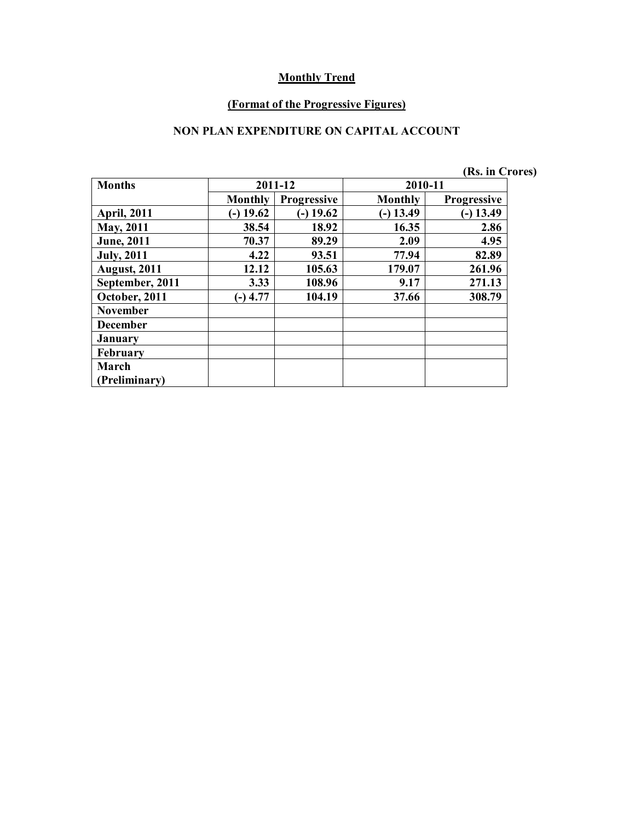#### **(Format of the Progressive Figures)**

#### **NON PLAN EXPENDITURE ON CAPITAL ACCOUNT**

|                     |                |                    |                | (Rs. in Crores)    |  |
|---------------------|----------------|--------------------|----------------|--------------------|--|
| <b>Months</b>       | 2011-12        |                    | 2010-11        |                    |  |
|                     | <b>Monthly</b> | <b>Progressive</b> | <b>Monthly</b> | <b>Progressive</b> |  |
| <b>April, 2011</b>  | $-$ ) 19.62    | $(-)$ 19.62        | $-$ ) 13.49    | $(-)$ 13.49        |  |
| May, 2011           | 38.54          | 18.92              | 16.35          | 2.86               |  |
| <b>June</b> , 2011  | 70.37          | 89.29              | 2.09           | 4.95               |  |
| <b>July</b> , 2011  | 4.22           | 93.51              | 77.94          | 82.89              |  |
| <b>August, 2011</b> | 12.12          | 105.63             | 179.07         | 261.96             |  |
| September, 2011     | 3.33           | 108.96             | 9.17           | 271.13             |  |
| October, 2011       | $(-)$ 4.77     | 104.19             | 37.66          | 308.79             |  |
| <b>November</b>     |                |                    |                |                    |  |
| <b>December</b>     |                |                    |                |                    |  |
| <b>January</b>      |                |                    |                |                    |  |
| <b>February</b>     |                |                    |                |                    |  |
| March               |                |                    |                |                    |  |
| (Preliminary)       |                |                    |                |                    |  |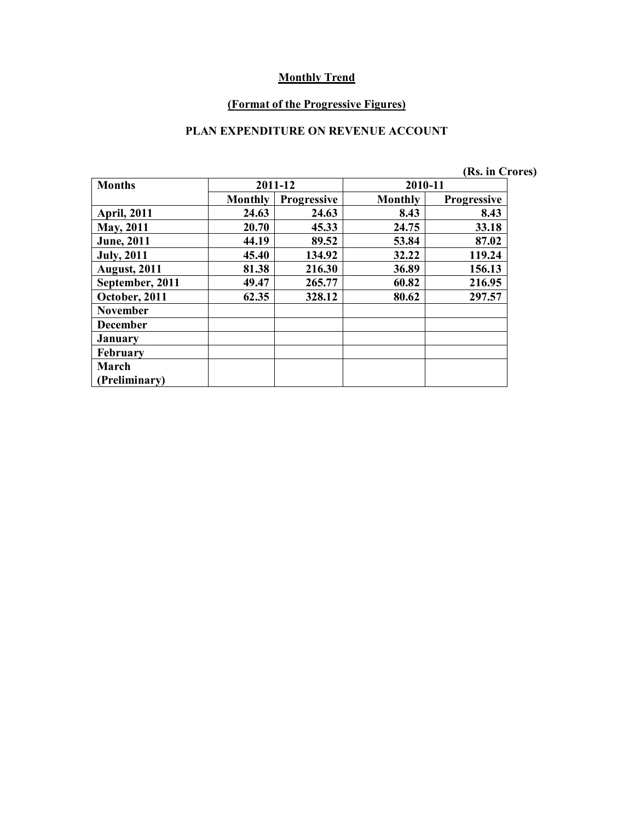#### **(Format of the Progressive Figures)**

## **PLAN EXPENDITURE ON REVENUE ACCOUNT**

|                     |                |                    |         | (Rs. in Crores)    |
|---------------------|----------------|--------------------|---------|--------------------|
| <b>Months</b>       |                | 2011-12            | 2010-11 |                    |
|                     | <b>Monthly</b> | <b>Progressive</b> | Monthly | <b>Progressive</b> |
| <b>April, 2011</b>  | 24.63          | 24.63              | 8.43    | 8.43               |
| <b>May, 2011</b>    | 20.70          | 45.33              | 24.75   | 33.18              |
| <b>June</b> , 2011  | 44.19          | 89.52              | 53.84   | 87.02              |
| <b>July, 2011</b>   | 45.40          | 134.92             | 32.22   | 119.24             |
| <b>August, 2011</b> | 81.38          | 216.30             | 36.89   | 156.13             |
| September, 2011     | 49.47          | 265.77             | 60.82   | 216.95             |
| October, 2011       | 62.35          | 328.12             | 80.62   | 297.57             |
| <b>November</b>     |                |                    |         |                    |
| <b>December</b>     |                |                    |         |                    |
| January             |                |                    |         |                    |
| <b>February</b>     |                |                    |         |                    |
| March               |                |                    |         |                    |
| (Preliminary)       |                |                    |         |                    |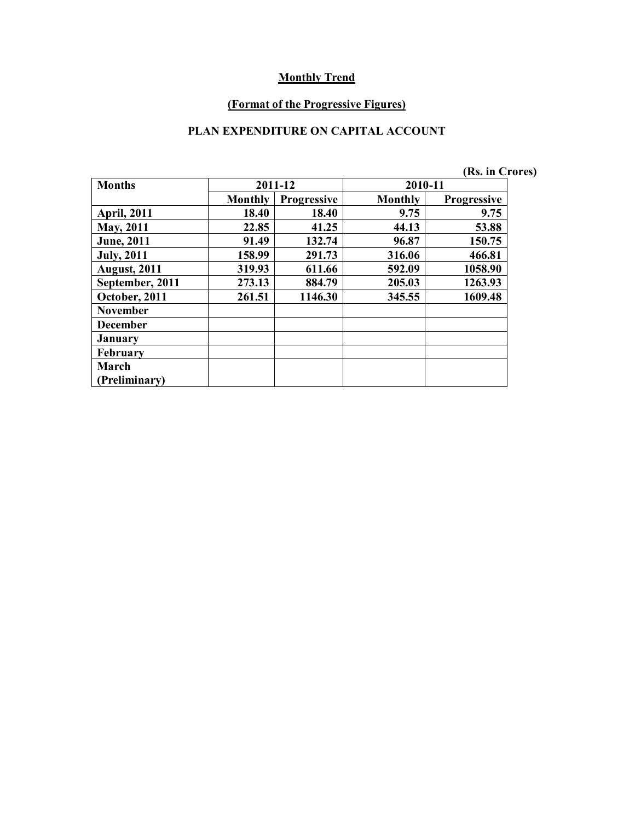#### **(Format of the Progressive Figures)**

## **PLAN EXPENDITURE ON CAPITAL ACCOUNT**

|                     |                |                    |         | (Rs. in Crores)    |  |
|---------------------|----------------|--------------------|---------|--------------------|--|
| <b>Months</b>       |                | 2011-12            | 2010-11 |                    |  |
|                     | <b>Monthly</b> | <b>Progressive</b> | Monthly | <b>Progressive</b> |  |
| <b>April, 2011</b>  | 18.40          | 18.40              | 9.75    | 9.75               |  |
| May, 2011           | 22.85          | 41.25              | 44.13   | 53.88              |  |
| <b>June</b> , 2011  | 91.49          | 132.74             | 96.87   | 150.75             |  |
| <b>July</b> , 2011  | 158.99         | 291.73             | 316.06  | 466.81             |  |
| <b>August, 2011</b> | 319.93         | 611.66             | 592.09  | 1058.90            |  |
| September, 2011     | 273.13         | 884.79             | 205.03  | 1263.93            |  |
| October, 2011       | 261.51         | 1146.30            | 345.55  | 1609.48            |  |
| <b>November</b>     |                |                    |         |                    |  |
| <b>December</b>     |                |                    |         |                    |  |
| <b>January</b>      |                |                    |         |                    |  |
| <b>February</b>     |                |                    |         |                    |  |
| March               |                |                    |         |                    |  |
| (Preliminary)       |                |                    |         |                    |  |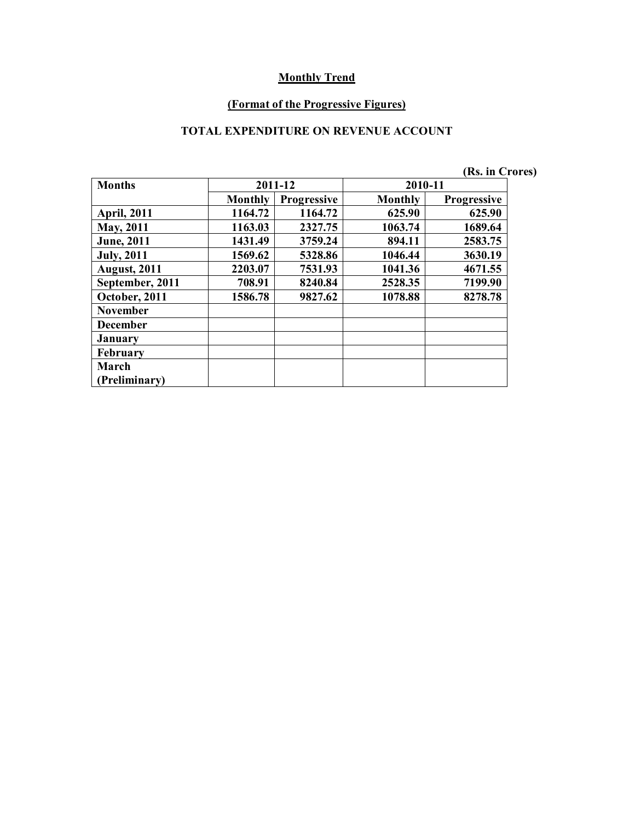#### **(Format of the Progressive Figures)**

#### **TOTAL EXPENDITURE ON REVENUE ACCOUNT**

|                     |                |                    |         | (Rs. in Crores)    |  |
|---------------------|----------------|--------------------|---------|--------------------|--|
| <b>Months</b>       |                | 2011-12            | 2010-11 |                    |  |
|                     | <b>Monthly</b> | <b>Progressive</b> | Monthly | <b>Progressive</b> |  |
| <b>April, 2011</b>  | 1164.72        | 1164.72            | 625.90  | 625.90             |  |
| May, 2011           | 1163.03        | 2327.75            | 1063.74 | 1689.64            |  |
| <b>June</b> , 2011  | 1431.49        | 3759.24            | 894.11  | 2583.75            |  |
| <b>July, 2011</b>   | 1569.62        | 5328.86            | 1046.44 | 3630.19            |  |
| <b>August, 2011</b> | 2203.07        | 7531.93            | 1041.36 | 4671.55            |  |
| September, 2011     | 708.91         | 8240.84            | 2528.35 | 7199.90            |  |
| October, 2011       | 1586.78        | 9827.62            | 1078.88 | 8278.78            |  |
| <b>November</b>     |                |                    |         |                    |  |
| <b>December</b>     |                |                    |         |                    |  |
| <b>January</b>      |                |                    |         |                    |  |
| <b>February</b>     |                |                    |         |                    |  |
| March               |                |                    |         |                    |  |
| (Preliminary)       |                |                    |         |                    |  |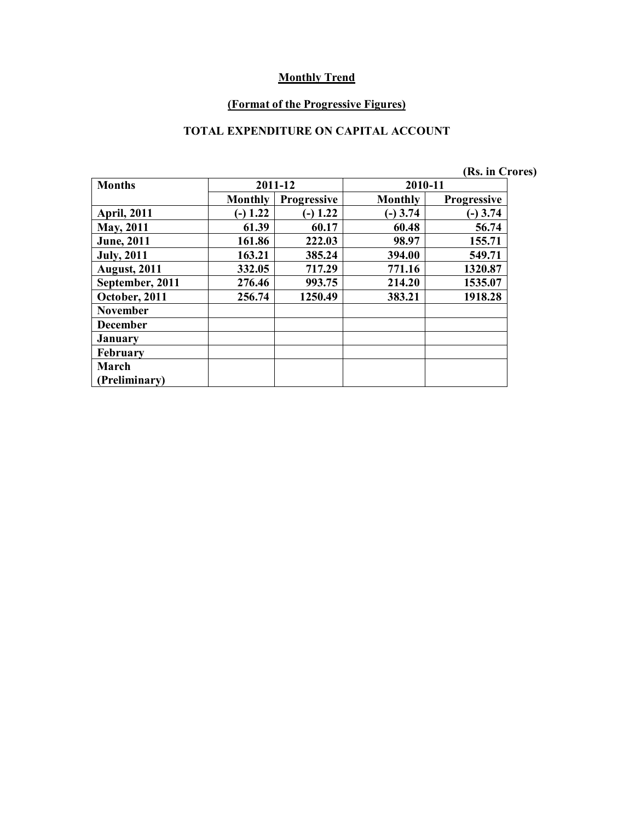#### **(Format of the Progressive Figures)**

## **TOTAL EXPENDITURE ON CAPITAL ACCOUNT**

|                     |            |                    |            | (Rs. in Crores)    |  |
|---------------------|------------|--------------------|------------|--------------------|--|
| <b>Months</b>       |            | 2011-12            | 2010-11    |                    |  |
|                     | Monthly    | <b>Progressive</b> | Monthly    | <b>Progressive</b> |  |
| <b>April, 2011</b>  | $(-) 1.22$ | $(-) 1.22$         | $(-)$ 3.74 | $(-)$ 3.74         |  |
| <b>May, 2011</b>    | 61.39      | 60.17              | 60.48      | 56.74              |  |
| <b>June</b> , 2011  | 161.86     | 222.03             | 98.97      | 155.71             |  |
| <b>July</b> , 2011  | 163.21     | 385.24             | 394.00     | 549.71             |  |
| <b>August, 2011</b> | 332.05     | 717.29             | 771.16     | 1320.87            |  |
| September, 2011     | 276.46     | 993.75             | 214.20     | 1535.07            |  |
| October, 2011       | 256.74     | 1250.49            | 383.21     | 1918.28            |  |
| <b>November</b>     |            |                    |            |                    |  |
| <b>December</b>     |            |                    |            |                    |  |
| <b>January</b>      |            |                    |            |                    |  |
| <b>February</b>     |            |                    |            |                    |  |
| March               |            |                    |            |                    |  |
| (Preliminary)       |            |                    |            |                    |  |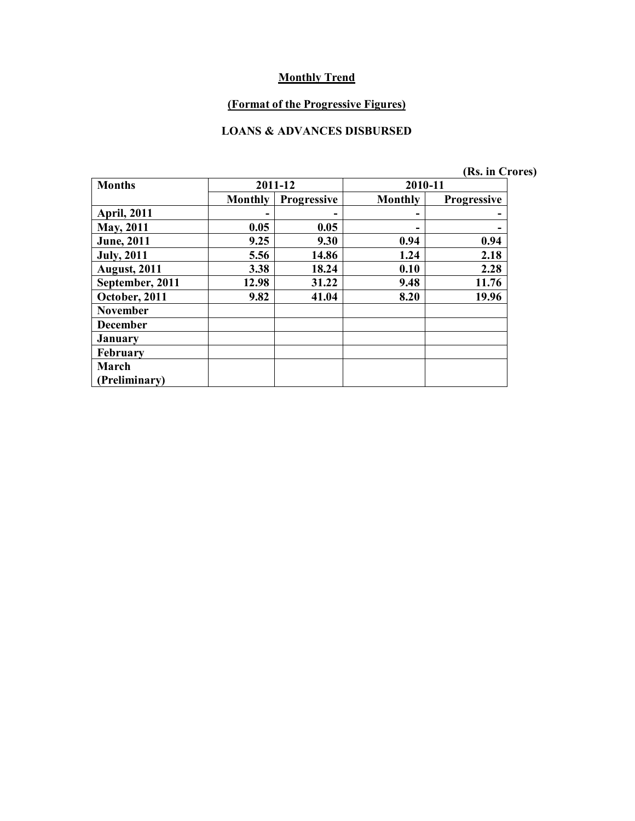## **(Format of the Progressive Figures)**

#### **LOANS & ADVANCES DISBURSED**

|  | (Rs. in Crores) |
|--|-----------------|
|--|-----------------|

| <b>Months</b>       | 2011-12        |                    | 2010-11 |                    |  |
|---------------------|----------------|--------------------|---------|--------------------|--|
|                     | <b>Monthly</b> | <b>Progressive</b> | Monthly | <b>Progressive</b> |  |
| <b>April, 2011</b>  |                |                    | -       |                    |  |
| May, 2011           | 0.05           | 0.05               | -       |                    |  |
| <b>June</b> , 2011  | 9.25           | 9.30               | 0.94    | 0.94               |  |
| <b>July, 2011</b>   | 5.56           | 14.86              | 1.24    | 2.18               |  |
| <b>August, 2011</b> | 3.38           | 18.24              | 0.10    | 2.28               |  |
| September, 2011     | 12.98          | 31.22              | 9.48    | 11.76              |  |
| October, 2011       | 9.82           | 41.04              | 8.20    | 19.96              |  |
| <b>November</b>     |                |                    |         |                    |  |
| <b>December</b>     |                |                    |         |                    |  |
| <b>January</b>      |                |                    |         |                    |  |
| February            |                |                    |         |                    |  |
| March               |                |                    |         |                    |  |
| (Preliminary)       |                |                    |         |                    |  |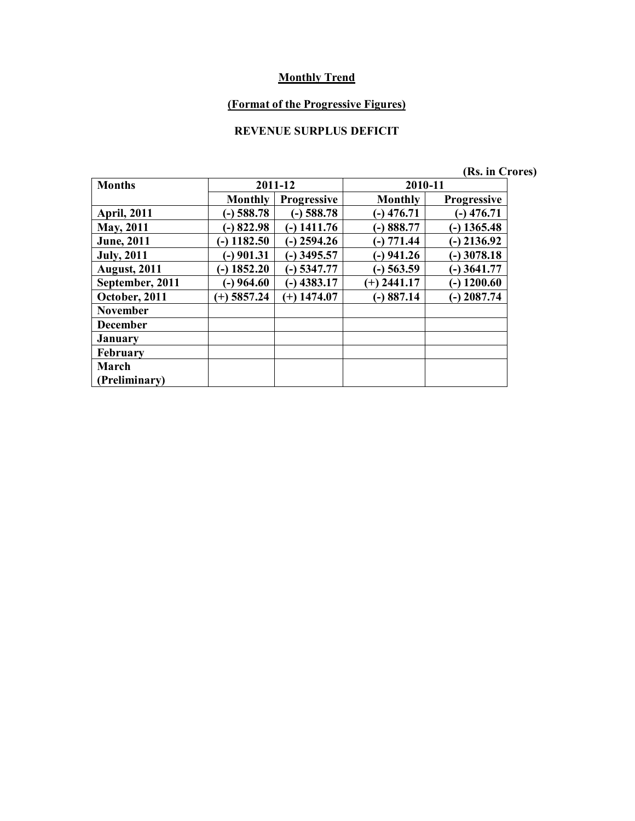# **(Format of the Progressive Figures)**

## **REVENUE SURPLUS DEFICIT**

|  | (Rs. in Crores) |  |
|--|-----------------|--|
|  |                 |  |

| <b>Months</b>       | 2011-12         |                    | 2010-11        |                    |
|---------------------|-----------------|--------------------|----------------|--------------------|
|                     | <b>Monthly</b>  | <b>Progressive</b> | <b>Monthly</b> | <b>Progressive</b> |
| <b>April, 2011</b>  | $(-)$ 588.78    | $(-)$ 588.78       | $(-)$ 476.71   | $-$ ) 476.71       |
| May, 2011           | $-$ 822.98      | $(-)$ 1411.76      | $-)888.77$     | $-$ ) 1365.48      |
| <b>June</b> , 2011  | $(-)$ 1182.50   | $(-)$ 2594.26      | $(-) 771.44$   | 2136.92            |
| <b>July, 2011</b>   | $-$ ) 901.31    | $-$ ) 3495.57      | $(-)$ 941.26   | $-$ ) 3078.18      |
| <b>August, 2011</b> | 1852.20<br>(۔ ا | $-$ 5347.77        | $-$ ) 563.59   | $-$ ) 3641.77      |
| September, 2011     | $(-)$ 964.60    | $(-)$ 4383.17      | $(+)$ 2441.17  | $-$ ) 1200.60      |
| October, 2011       | $(+)$ 5857.24   | $(+)$ 1474.07      | $-)887.14$     | $-$ ) 2087.74      |
| <b>November</b>     |                 |                    |                |                    |
| <b>December</b>     |                 |                    |                |                    |
| <b>January</b>      |                 |                    |                |                    |
| <b>February</b>     |                 |                    |                |                    |
| March               |                 |                    |                |                    |
| (Preliminary)       |                 |                    |                |                    |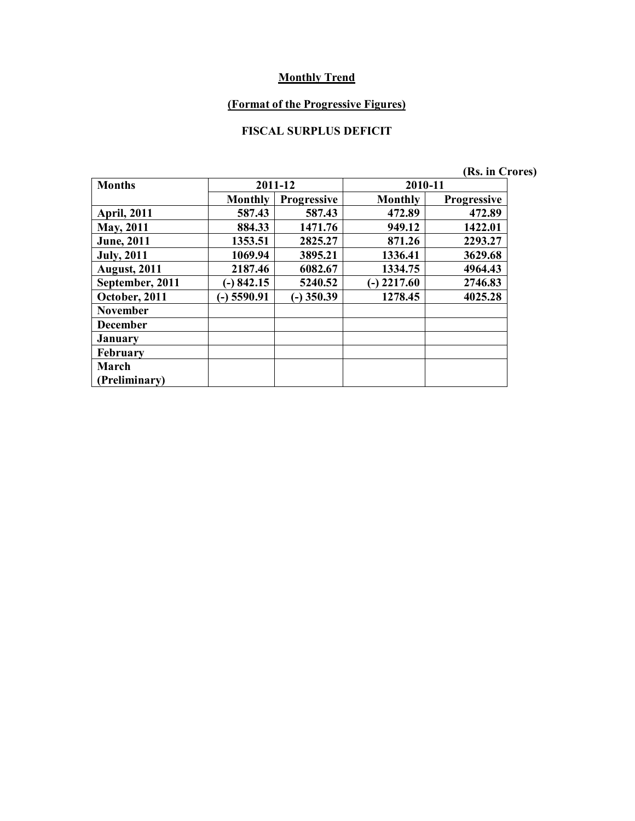#### **(Format of the Progressive Figures)**

## **FISCAL SURPLUS DEFICIT**

| <b>Months</b>       | 2011-12        |                    | 2010-11        |                    |  |
|---------------------|----------------|--------------------|----------------|--------------------|--|
|                     | <b>Monthly</b> | <b>Progressive</b> | <b>Monthly</b> | <b>Progressive</b> |  |
| <b>April, 2011</b>  | 587.43         | 587.43             | 472.89         | 472.89             |  |
| May, 2011           | 884.33         | 1471.76            | 949.12         | 1422.01            |  |
| <b>June</b> , 2011  | 1353.51        | 2825.27            | 871.26         | 2293.27            |  |
| <b>July</b> , 2011  | 1069.94        | 3895.21            | 1336.41        | 3629.68            |  |
| <b>August, 2011</b> | 2187.46        | 6082.67            | 1334.75        | 4964.43            |  |
| September, 2011     | $(-) 842.15$   | 5240.52            | $(-)$ 2217.60  | 2746.83            |  |
| October, 2011       | $-$ ) 5590.91  | $-$ ) 350.39       | 1278.45        | 4025.28            |  |
| <b>November</b>     |                |                    |                |                    |  |
| <b>December</b>     |                |                    |                |                    |  |
| <b>January</b>      |                |                    |                |                    |  |
| <b>February</b>     |                |                    |                |                    |  |
| March               |                |                    |                |                    |  |
| (Preliminary)       |                |                    |                |                    |  |